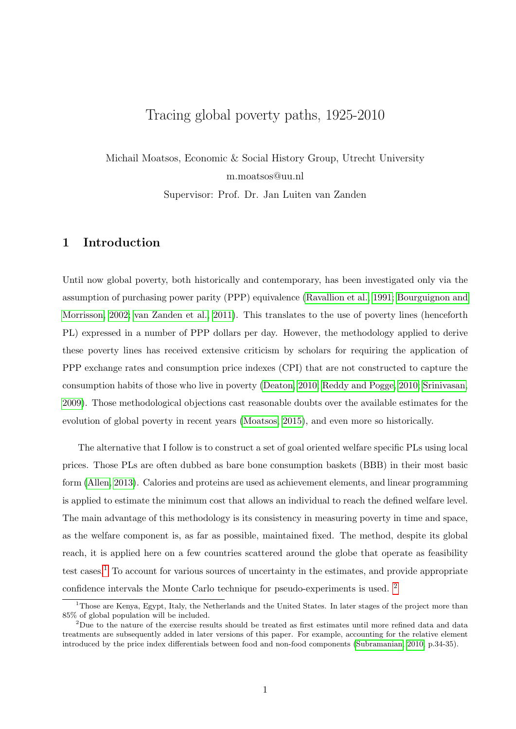# <span id="page-0-0"></span>Tracing global poverty paths, 1925-2010

Michail Moatsos, Economic & Social History Group, Utrecht University m.moatsos@uu.nl

Supervisor: Prof. Dr. Jan Luiten van Zanden

## 1 Introduction

Until now global poverty, both historically and contemporary, has been investigated only via the assumption of purchasing power parity (PPP) equivalence [\(Ravallion et al., 1991;](#page-9-0) [Bourguignon and](#page-9-1) [Morrisson, 2002;](#page-9-1) [van Zanden et al., 2011\)](#page-10-0). This translates to the use of poverty lines (henceforth PL) expressed in a number of PPP dollars per day. However, the methodology applied to derive these poverty lines has received extensive criticism by scholars for requiring the application of PPP exchange rates and consumption price indexes (CPI) that are not constructed to capture the consumption habits of those who live in poverty [\(Deaton, 2010;](#page-9-2) [Reddy and Pogge, 2010;](#page-10-1) [Srinivasan,](#page-10-2) [2009\)](#page-10-2). Those methodological objections cast reasonable doubts over the available estimates for the evolution of global poverty in recent years [\(Moatsos, 2015\)](#page-9-3), and even more so historically.

The alternative that I follow is to construct a set of goal oriented welfare specific PLs using local prices. Those PLs are often dubbed as bare bone consumption baskets (BBB) in their most basic form [\(Allen, 2013\)](#page-9-4). Calories and proteins are used as achievement elements, and linear programming is applied to estimate the minimum cost that allows an individual to reach the defined welfare level. The main advantage of this methodology is its consistency in measuring poverty in time and space, as the welfare component is, as far as possible, maintained fixed. The method, despite its global reach, it is applied here on a few countries scattered around the globe that operate as feasibility test cases.<sup>1</sup> To account for various sources of uncertainty in the estimates, and provide appropriate confidence intervals the Monte Carlo technique for pseudo-experiments is used. <sup>2</sup>

<sup>&</sup>lt;sup>1</sup>Those are Kenya, Egypt, Italy, the Netherlands and the United States. In later stages of the project more than 85% of global population will be included.

<sup>&</sup>lt;sup>2</sup>Due to the nature of the exercise results should be treated as first estimates until more refined data and data treatments are subsequently added in later versions of this paper. For example, accounting for the relative element introduced by the price index differentials between food and non-food components [\(Subramanian, 2010,](#page-10-3) p.34-35).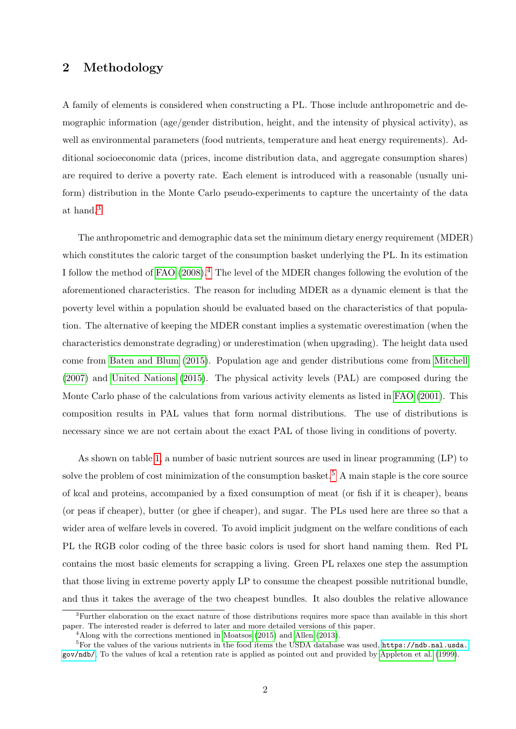### 2 Methodology

A family of elements is considered when constructing a PL. Those include anthropometric and demographic information (age/gender distribution, height, and the intensity of physical activity), as well as environmental parameters (food nutrients, temperature and heat energy requirements). Additional socioeconomic data (prices, income distribution data, and aggregate consumption shares) are required to derive a poverty rate. Each element is introduced with a reasonable (usually uniform) distribution in the Monte Carlo pseudo-experiments to capture the uncertainty of the data at hand.[3](#page-0-0)

The anthropometric and demographic data set the minimum dietary energy requirement (MDER) which constitutes the caloric target of the consumption basket underlying the PL. In its estimation I follow the method of [FAO](#page-9-5)  $(2008)^4$  $(2008)^4$  $(2008)^4$ . The level of the MDER changes following the evolution of the aforementioned characteristics. The reason for including MDER as a dynamic element is that the poverty level within a population should be evaluated based on the characteristics of that population. The alternative of keeping the MDER constant implies a systematic overestimation (when the characteristics demonstrate degrading) or underestimation (when upgrading). The height data used come from [Baten and Blum](#page-9-6) [\(2015\)](#page-9-6). Population age and gender distributions come from [Mitchell](#page-9-7) [\(2007\)](#page-9-7) and [United Nations](#page-10-4) [\(2015\)](#page-10-4). The physical activity levels (PAL) are composed during the Monte Carlo phase of the calculations from various activity elements as listed in [FAO](#page-9-8) [\(2001\)](#page-9-8). This composition results in PAL values that form normal distributions. The use of distributions is necessary since we are not certain about the exact PAL of those living in conditions of poverty.

As shown on table [1,](#page-2-0) a number of basic nutrient sources are used in linear programming (LP) to solve the problem of cost minimization of the consumption basket.<sup>[5](#page-0-0)</sup> A main staple is the core source of kcal and proteins, accompanied by a fixed consumption of meat (or fish if it is cheaper), beans (or peas if cheaper), butter (or ghee if cheaper), and sugar. The PLs used here are three so that a wider area of welfare levels in covered. To avoid implicit judgment on the welfare conditions of each PL the RGB color coding of the three basic colors is used for short hand naming them. Red PL contains the most basic elements for scrapping a living. Green PL relaxes one step the assumption that those living in extreme poverty apply LP to consume the cheapest possible nutritional bundle, and thus it takes the average of the two cheapest bundles. It also doubles the relative allowance

<sup>3</sup>Further elaboration on the exact nature of those distributions requires more space than available in this short paper. The interested reader is deferred to later and more detailed versions of this paper.

<sup>&</sup>lt;sup>4</sup>Along with the corrections mentioned in [Moatsos](#page-9-3) [\(2015\)](#page-9-3) and [Allen](#page-9-4) [\(2013\)](#page-9-4).

<sup>&</sup>lt;sup>5</sup>For the values of the various nutrients in the food items the USDA database was used, [https://ndb.nal.usda.](https://ndb.nal.usda.gov/ndb/) [gov/ndb/](https://ndb.nal.usda.gov/ndb/), To the values of kcal a retention rate is applied as pointed out and provided by [Appleton et al.](#page-9-9) [\(1999\)](#page-9-9).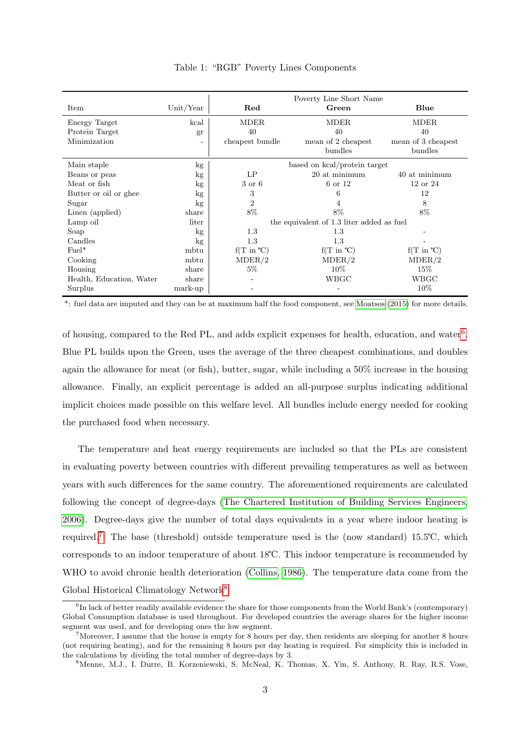|                          |           | Poverty Line Short Name                   |                              |                              |
|--------------------------|-----------|-------------------------------------------|------------------------------|------------------------------|
| Item                     | Unit/Year | Red                                       | Green                        | Blue                         |
| Energy Target            | kcal      | <b>MDER</b>                               | MDER                         | <b>MDER</b>                  |
| Protein Target           | gr        | 40                                        | 40                           | 40                           |
| Minimization             |           | cheapest bundle                           | mean of 2 cheapest           | mean of 3 cheapest           |
|                          |           |                                           | bundles                      | bundles                      |
| Main staple              | kg        | based on kcal/protein target              |                              |                              |
| Beans or peas            | kg        | LP                                        | 20 at minimum                | 40 at minimum                |
| Meat or fish             | kg        | 3 or 6                                    | 6 or 12                      | $12$ or $24$                 |
| Butter or oil or ghee    | kg        | 3                                         | 6                            | 12                           |
| Sugar                    | kg        | $\overline{2}$                            | 4                            | 8                            |
| Linen (applied)          | share     | 8%                                        | 8%                           | 8%                           |
| Lamp oil                 | liter     | the equivalent of 1.3 liter added as fuel |                              |                              |
| Soap                     | kg        | $1.3\,$                                   | 1.3                          |                              |
| Candles                  | kg        | 1.3                                       | 1.3                          |                              |
| $Fuel*$                  | mbtu      | $f(T \text{ in } ^{\circ}C)$              | $f(T \text{ in } ^{\circ}C)$ | $f(T \text{ in } ^{\circ}C)$ |
| Cooking                  | mbtu      | MDER/2                                    | MDER/2                       | MDER/2                       |
| Housing                  | share     | $5\%$                                     | $10\%$                       | $15\%$                       |
| Health, Education, Water | share     |                                           | WBGC                         | WBGC                         |
| Surplus                  | mark-up   |                                           |                              | 10%                          |

<span id="page-2-0"></span>Table 1: "RGB" Poverty Lines Components

\*: fuel data are imputed and they can be at maximum half the food component, see [Moatsos](#page-9-3) [\(2015\)](#page-9-3) for more details.

of housing, compared to the Red PL, and adds explicit expenses for health, education, and water<sup>[6](#page-0-0)</sup>. Blue PL builds upon the Green, uses the average of the three cheapest combinations, and doubles again the allowance for meat (or fish), butter, sugar, while including a 50% increase in the housing allowance. Finally, an explicit percentage is added an all-purpose surplus indicating additional implicit choices made possible on this welfare level. All bundles include energy needed for cooking the purchased food when necessary.

The temperature and heat energy requirements are included so that the PLs are consistent in evaluating poverty between countries with different prevailing temperatures as well as between years with such differences for the same country. The aforementioned requirements are calculated following the concept of degree-days [\(The Chartered Institution of Building Services Engineers,](#page-10-5) [2006\)](#page-10-5). Degree-days give the number of total days equivalents in a year where indoor heating is required.<sup>[7](#page-0-0)</sup> The base (threshold) outside temperature used is the (now standard) 15.5°C, which corresponds to an indoor temperature of about 18°C. This indoor temperature is recommended by WHO to avoid chronic health deterioration [\(Collins, 1986\)](#page-9-10). The temperature data come from the Global Historical Climatology Network<sup>[8](#page-0-0)</sup>

<sup>&</sup>lt;sup>6</sup>In lack of better readily available evidence the share for those components from the World Bank's (contemporary) Global Consumption database is used throughout. For developed countries the average shares for the higher income segment was used, and for developing ones the low segment.

<sup>&</sup>lt;sup>7</sup>Moreover, I assume that the house is empty for 8 hours per day, then residents are sleeping for another 8 hours (not requiring heating), and for the remaining 8 hours per day heating is required. For simplicity this is included in the calculations by dividing the total number of degree-days by 3.

<sup>8</sup>Menne, M.J., I. Durre, B. Korzeniewski, S. McNeal, K. Thomas, X. Yin, S. Anthony, R. Ray, R.S. Vose,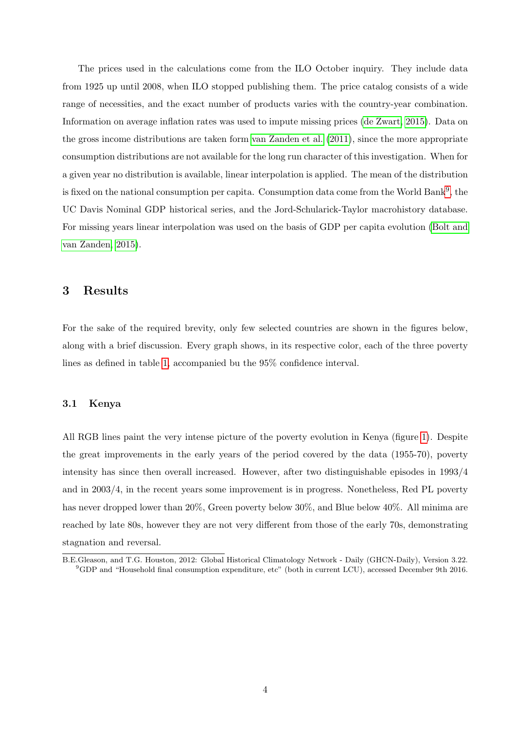The prices used in the calculations come from the ILO October inquiry. They include data from 1925 up until 2008, when ILO stopped publishing them. The price catalog consists of a wide range of necessities, and the exact number of products varies with the country-year combination. Information on average inflation rates was used to impute missing prices [\(de Zwart, 2015\)](#page-9-11). Data on the gross income distributions are taken form [van Zanden et al.](#page-10-0) [\(2011\)](#page-10-0), since the more appropriate consumption distributions are not available for the long run character of this investigation. When for a given year no distribution is available, linear interpolation is applied. The mean of the distribution is fixed on the national consumption per capita. Consumption data come from the World Bank<sup>[9](#page-0-0)</sup>, the UC Davis Nominal GDP historical series, and the Jord-Schularick-Taylor macrohistory database. For missing years linear interpolation was used on the basis of GDP per capita evolution [\(Bolt and](#page-9-12) [van Zanden, 2015\)](#page-9-12).

### 3 Results

For the sake of the required brevity, only few selected countries are shown in the figures below, along with a brief discussion. Every graph shows, in its respective color, each of the three poverty lines as defined in table [1,](#page-2-0) accompanied bu the 95% confidence interval.

#### 3.1 Kenya

All RGB lines paint the very intense picture of the poverty evolution in Kenya (figure [1\)](#page-4-0). Despite the great improvements in the early years of the period covered by the data (1955-70), poverty intensity has since then overall increased. However, after two distinguishable episodes in 1993/4 and in 2003/4, in the recent years some improvement is in progress. Nonetheless, Red PL poverty has never dropped lower than 20%. Green poverty below 30%, and Blue below 40%. All minima are reached by late 80s, however they are not very different from those of the early 70s, demonstrating stagnation and reversal.

B.E.Gleason, and T.G. Houston, 2012: Global Historical Climatology Network - Daily (GHCN-Daily), Version 3.22. <sup>9</sup>GDP and "Household final consumption expenditure, etc" (both in current LCU), accessed December 9th 2016.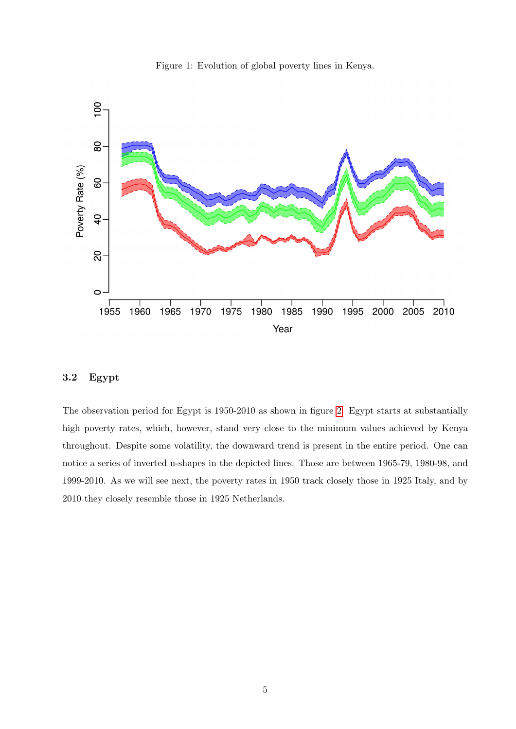<span id="page-4-0"></span>



### 3.2 Egypt

The observation period for Egypt is 1950-2010 as shown in figure [2.](#page-5-0) Egypt starts at substantially high poverty rates, which, however, stand very close to the minimum values achieved by Kenya throughout. Despite some volatility, the downward trend is present in the entire period. One can notice a series of inverted u-shapes in the depicted lines. Those are between 1965-79, 1980-98, and 1999-2010. As we will see next, the poverty rates in 1950 track closely those in 1925 Italy, and by 2010 they closely resemble those in 1925 Netherlands.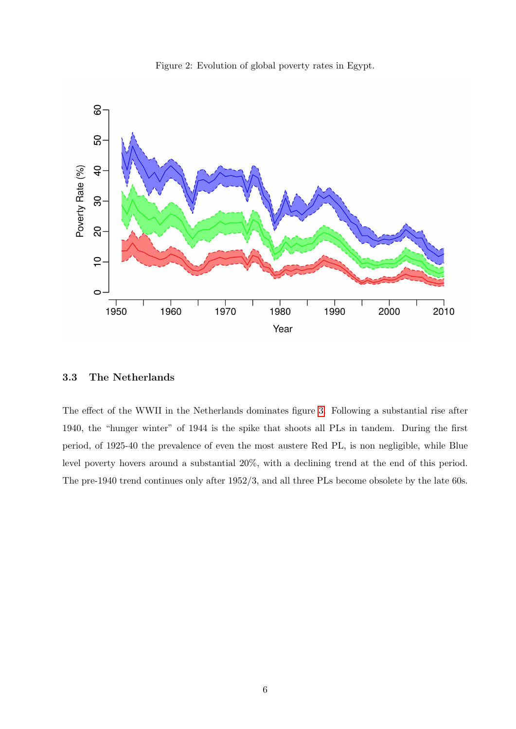<span id="page-5-0"></span>



#### 3.3 The Netherlands

The effect of the WWII in the Netherlands dominates figure [3.](#page-6-0) Following a substantial rise after 1940, the "hunger winter" of 1944 is the spike that shoots all PLs in tandem. During the first period, of 1925-40 the prevalence of even the most austere Red PL, is non negligible, while Blue level poverty hovers around a substantial 20%, with a declining trend at the end of this period. The pre-1940 trend continues only after 1952/3, and all three PLs become obsolete by the late 60s.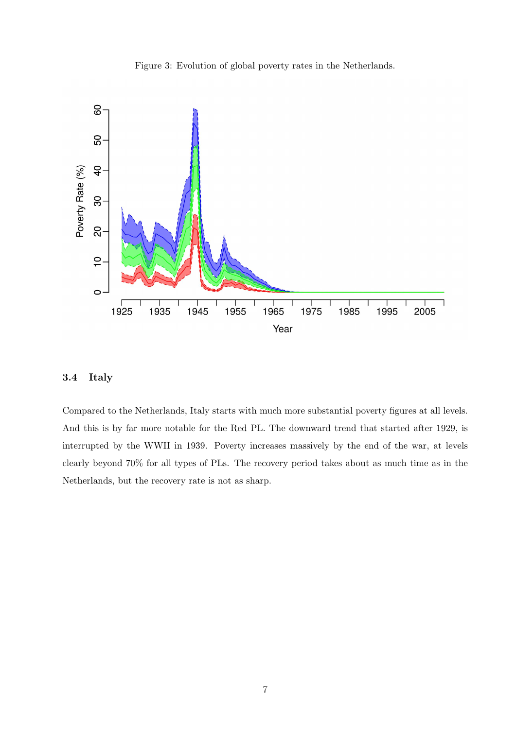<span id="page-6-0"></span>Figure 3: Evolution of global poverty rates in the Netherlands.



#### 3.4 Italy

Compared to the Netherlands, Italy starts with much more substantial poverty figures at all levels. And this is by far more notable for the Red PL. The downward trend that started after 1929, is interrupted by the WWII in 1939. Poverty increases massively by the end of the war, at levels clearly beyond 70% for all types of PLs. The recovery period takes about as much time as in the Netherlands, but the recovery rate is not as sharp.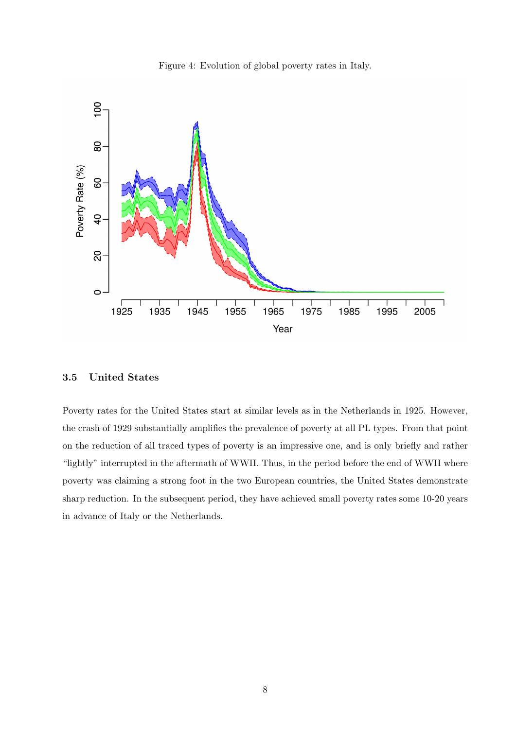



#### 3.5 United States

Poverty rates for the United States start at similar levels as in the Netherlands in 1925. However, the crash of 1929 substantially amplifies the prevalence of poverty at all PL types. From that point on the reduction of all traced types of poverty is an impressive one, and is only briefly and rather "lightly" interrupted in the aftermath of WWII. Thus, in the period before the end of WWII where poverty was claiming a strong foot in the two European countries, the United States demonstrate sharp reduction. In the subsequent period, they have achieved small poverty rates some 10-20 years in advance of Italy or the Netherlands.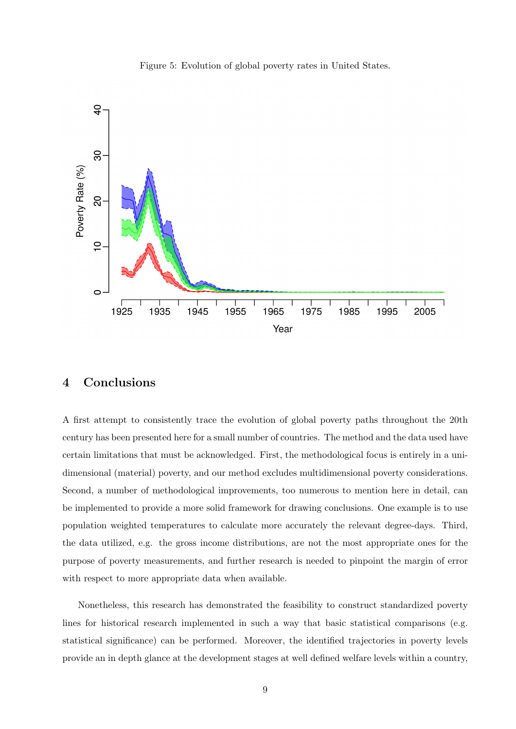

Figure 5: Evolution of global poverty rates in United States.

### 4 Conclusions

A first attempt to consistently trace the evolution of global poverty paths throughout the 20th century has been presented here for a small number of countries. The method and the data used have certain limitations that must be acknowledged. First, the methodological focus is entirely in a unidimensional (material) poverty, and our method excludes multidimensional poverty considerations. Second, a number of methodological improvements, too numerous to mention here in detail, can be implemented to provide a more solid framework for drawing conclusions. One example is to use population weighted temperatures to calculate more accurately the relevant degree-days. Third, the data utilized, e.g. the gross income distributions, are not the most appropriate ones for the purpose of poverty measurements, and further research is needed to pinpoint the margin of error with respect to more appropriate data when available.

Nonetheless, this research has demonstrated the feasibility to construct standardized poverty lines for historical research implemented in such a way that basic statistical comparisons (e.g. statistical significance) can be performed. Moreover, the identified trajectories in poverty levels provide an in depth glance at the development stages at well defined welfare levels within a country,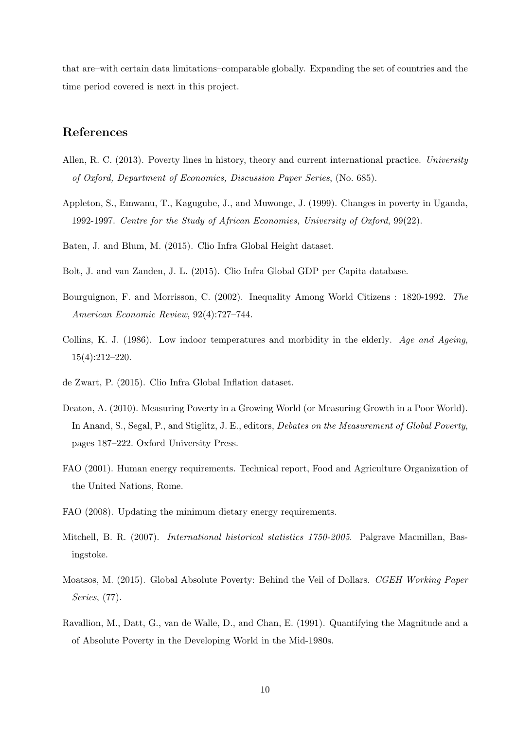that are–with certain data limitations–comparable globally. Expanding the set of countries and the time period covered is next in this project.

### References

- <span id="page-9-4"></span>Allen, R. C. (2013). Poverty lines in history, theory and current international practice. University of Oxford, Department of Economics, Discussion Paper Series, (No. 685).
- <span id="page-9-9"></span>Appleton, S., Emwanu, T., Kagugube, J., and Muwonge, J. (1999). Changes in poverty in Uganda, 1992-1997. Centre for the Study of African Economies, University of Oxford, 99(22).

<span id="page-9-6"></span>Baten, J. and Blum, M. (2015). Clio Infra Global Height dataset.

- <span id="page-9-12"></span>Bolt, J. and van Zanden, J. L. (2015). Clio Infra Global GDP per Capita database.
- <span id="page-9-1"></span>Bourguignon, F. and Morrisson, C. (2002). Inequality Among World Citizens : 1820-1992. The American Economic Review, 92(4):727–744.
- <span id="page-9-10"></span>Collins, K. J. (1986). Low indoor temperatures and morbidity in the elderly. Age and Ageing, 15(4):212–220.
- <span id="page-9-11"></span>de Zwart, P. (2015). Clio Infra Global Inflation dataset.
- <span id="page-9-2"></span>Deaton, A. (2010). Measuring Poverty in a Growing World (or Measuring Growth in a Poor World). In Anand, S., Segal, P., and Stiglitz, J. E., editors, *Debates on the Measurement of Global Poverty*, pages 187–222. Oxford University Press.
- <span id="page-9-8"></span>FAO (2001). Human energy requirements. Technical report, Food and Agriculture Organization of the United Nations, Rome.
- <span id="page-9-5"></span>FAO (2008). Updating the minimum dietary energy requirements.
- <span id="page-9-7"></span>Mitchell, B. R. (2007). International historical statistics 1750-2005. Palgrave Macmillan, Basingstoke.
- <span id="page-9-3"></span>Moatsos, M. (2015). Global Absolute Poverty: Behind the Veil of Dollars. CGEH Working Paper Series, (77).
- <span id="page-9-0"></span>Ravallion, M., Datt, G., van de Walle, D., and Chan, E. (1991). Quantifying the Magnitude and a of Absolute Poverty in the Developing World in the Mid-1980s.